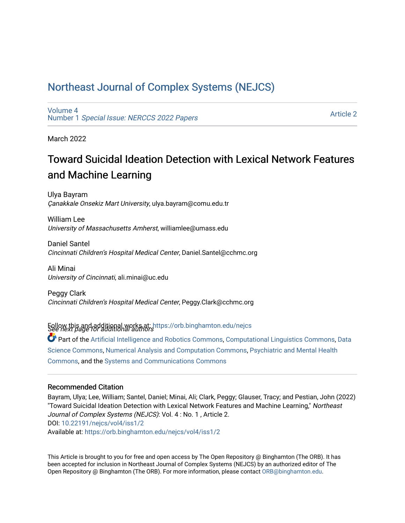# [Northeast Journal of Complex Systems \(NEJCS\)](https://orb.binghamton.edu/nejcs)

[Volume 4](https://orb.binghamton.edu/nejcs/vol4) Number 1 [Special Issue: NERCCS 2022 Papers](https://orb.binghamton.edu/nejcs/vol4/iss1) 

[Article 2](https://orb.binghamton.edu/nejcs/vol4/iss1/2) 

March 2022

# Toward Suicidal Ideation Detection with Lexical Network Features and Machine Learning

Ulya Bayram Çanakkale Onsekiz Mart University, ulya.bayram@comu.edu.tr

William Lee University of Massachusetts Amherst, williamlee@umass.edu

Daniel Santel Cincinnati Children's Hospital Medical Center, Daniel.Santel@cchmc.org

Ali Minai University of Cincinnati, ali.minai@uc.edu

Peggy Clark Cincinnati Children's Hospital Medical Center, Peggy.Clark@cchmc.org

Follow this and additional works at: https://orb.binghamton.edu/nejcs<br>See next page for additional authors

Part of the [Artificial Intelligence and Robotics Commons](http://network.bepress.com/hgg/discipline/143?utm_source=orb.binghamton.edu%2Fnejcs%2Fvol4%2Fiss1%2F2&utm_medium=PDF&utm_campaign=PDFCoverPages), [Computational Linguistics Commons](http://network.bepress.com/hgg/discipline/375?utm_source=orb.binghamton.edu%2Fnejcs%2Fvol4%2Fiss1%2F2&utm_medium=PDF&utm_campaign=PDFCoverPages), [Data](http://network.bepress.com/hgg/discipline/1429?utm_source=orb.binghamton.edu%2Fnejcs%2Fvol4%2Fiss1%2F2&utm_medium=PDF&utm_campaign=PDFCoverPages) [Science Commons,](http://network.bepress.com/hgg/discipline/1429?utm_source=orb.binghamton.edu%2Fnejcs%2Fvol4%2Fiss1%2F2&utm_medium=PDF&utm_campaign=PDFCoverPages) [Numerical Analysis and Computation Commons](http://network.bepress.com/hgg/discipline/119?utm_source=orb.binghamton.edu%2Fnejcs%2Fvol4%2Fiss1%2F2&utm_medium=PDF&utm_campaign=PDFCoverPages), [Psychiatric and Mental Health](http://network.bepress.com/hgg/discipline/711?utm_source=orb.binghamton.edu%2Fnejcs%2Fvol4%2Fiss1%2F2&utm_medium=PDF&utm_campaign=PDFCoverPages)  [Commons](http://network.bepress.com/hgg/discipline/711?utm_source=orb.binghamton.edu%2Fnejcs%2Fvol4%2Fiss1%2F2&utm_medium=PDF&utm_campaign=PDFCoverPages), and the [Systems and Communications Commons](http://network.bepress.com/hgg/discipline/276?utm_source=orb.binghamton.edu%2Fnejcs%2Fvol4%2Fiss1%2F2&utm_medium=PDF&utm_campaign=PDFCoverPages) 

#### Recommended Citation

Bayram, Ulya; Lee, William; Santel, Daniel; Minai, Ali; Clark, Peggy; Glauser, Tracy; and Pestian, John (2022) "Toward Suicidal Ideation Detection with Lexical Network Features and Machine Learning," Northeast Journal of Complex Systems (NEJCS): Vol. 4 : No. 1 , Article 2. DOI: [10.22191/nejcs/vol4/iss1/2](https://doi.org/10.22191/nejcs/vol4/iss1/2)  Available at: [https://orb.binghamton.edu/nejcs/vol4/iss1/2](https://orb.binghamton.edu/nejcs/vol4/iss1/2?utm_source=orb.binghamton.edu%2Fnejcs%2Fvol4%2Fiss1%2F2&utm_medium=PDF&utm_campaign=PDFCoverPages) 

This Article is brought to you for free and open access by The Open Repository @ Binghamton (The ORB). It has been accepted for inclusion in Northeast Journal of Complex Systems (NEJCS) by an authorized editor of The Open Repository @ Binghamton (The ORB). For more information, please contact [ORB@binghamton.edu.](mailto:ORB@binghamton.edu)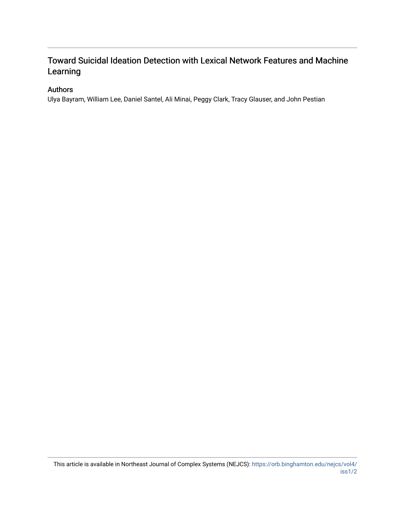# Toward Suicidal Ideation Detection with Lexical Network Features and Machine Learning

## Authors

Ulya Bayram, William Lee, Daniel Santel, Ali Minai, Peggy Clark, Tracy Glauser, and John Pestian

This article is available in Northeast Journal of Complex Systems (NEJCS): [https://orb.binghamton.edu/nejcs/vol4/](https://orb.binghamton.edu/nejcs/vol4/iss1/2) [iss1/2](https://orb.binghamton.edu/nejcs/vol4/iss1/2)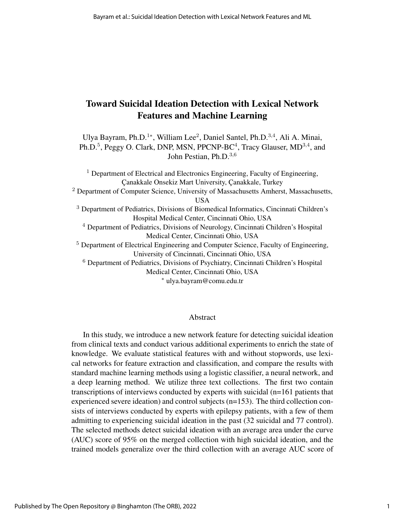# Toward Suicidal Ideation Detection with Lexical Network Features and Machine Learning

Ulya Bayram, Ph.D.<sup>1∗</sup>, William Lee<sup>2</sup>, Daniel Santel, Ph.D.<sup>3,4</sup>, Ali A. Minai, Ph.D.<sup>5</sup>, Peggy O. Clark, DNP, MSN, PPCNP-BC<sup>4</sup>, Tracy Glauser, MD<sup>3,4</sup>, and John Pestian, Ph.D.<sup>3,6</sup>

<sup>1</sup> Department of Electrical and Electronics Engineering, Faculty of Engineering, Canakkale Onsekiz Mart University, Canakkale, Turkey <sup>2</sup> Department of Computer Science, University of Massachusetts Amherst, Massachusetts, USA <sup>3</sup> Department of Pediatrics, Divisions of Biomedical Informatics, Cincinnati Children's Hospital Medical Center, Cincinnati Ohio, USA <sup>4</sup> Department of Pediatrics, Divisions of Neurology, Cincinnati Children's Hospital Medical Center, Cincinnati Ohio, USA <sup>5</sup> Department of Electrical Engineering and Computer Science, Faculty of Engineering, University of Cincinnati, Cincinnati Ohio, USA <sup>6</sup> Department of Pediatrics, Divisions of Psychiatry, Cincinnati Children's Hospital Medical Center, Cincinnati Ohio, USA

#### <sup>∗</sup> ulya.bayram@comu.edu.tr

#### Abstract

In this study, we introduce a new network feature for detecting suicidal ideation from clinical texts and conduct various additional experiments to enrich the state of knowledge. We evaluate statistical features with and without stopwords, use lexical networks for feature extraction and classification, and compare the results with standard machine learning methods using a logistic classifier, a neural network, and a deep learning method. We utilize three text collections. The first two contain transcriptions of interviews conducted by experts with suicidal (n=161 patients that experienced severe ideation) and control subjects (n=153). The third collection consists of interviews conducted by experts with epilepsy patients, with a few of them admitting to experiencing suicidal ideation in the past (32 suicidal and 77 control). The selected methods detect suicidal ideation with an average area under the curve (AUC) score of 95% on the merged collection with high suicidal ideation, and the trained models generalize over the third collection with an average AUC score of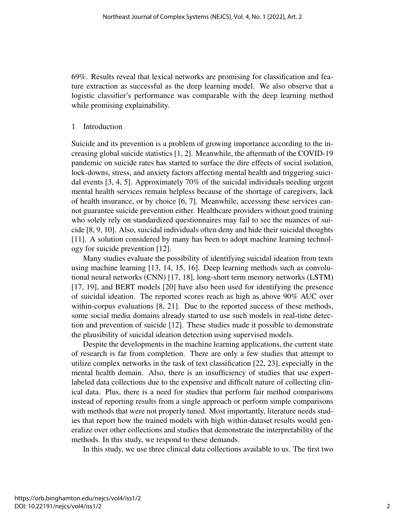69%. Results reveal that lexical networks are promising for classification and feature extraction as successful as the deep learning model. We also observe that a logistic classifier's performance was comparable with the deep learning method while promising explainability.

#### 1 Introduction

Suicide and its prevention is a problem of growing importance according to the increasing global suicide statistics [1, 2]. Meanwhile, the aftermath of the COVID-19 pandemic on suicide rates has started to surface the dire effects of social isolation, lock-downs, stress, and anxiety factors affecting mental health and triggering suicidal events [3, 4, 5]. Approximately 70% of the suicidal individuals needing urgent mental health services remain helpless because of the shortage of caregivers, lack of health insurance, or by choice [6, 7]. Meanwhile, accessing these services cannot guarantee suicide prevention either. Healthcare providers without good training who solely rely on standardized questionnaires may fail to see the nuances of suicide [8, 9, 10]. Also, suicidal individuals often deny and hide their suicidal thoughts [11]. A solution considered by many has been to adopt machine learning technology for suicide prevention [12].

Many studies evaluate the possibility of identifying suicidal ideation from texts using machine learning [13, 14, 15, 16]. Deep learning methods such as convolutional neural networks (CNN) [17, 18], long-short term memory networks (LSTM) [17, 19], and BERT models [20] have also been used for identifying the presence of suicidal ideation. The reported scores reach as high as above 90% AUC over within-corpus evaluations [8, 21]. Due to the reported success of these methods, some social media domains already started to use such models in real-time detection and prevention of suicide [12]. These studies made it possible to demonstrate the plausibility of suicidal ideation detection using supervised models.

Despite the developments in the machine learning applications, the current state of research is far from completion. There are only a few studies that attempt to utilize complex networks in the task of text classification [22, 23], especially in the mental health domain. Also, there is an insufficiency of studies that use expertlabeled data collections due to the expensive and difficult nature of collecting clinical data. Plus, there is a need for studies that perform fair method comparisons instead of reporting results from a single approach or perform simple comparisons with methods that were not properly tuned. Most importantly, literature needs studies that report how the trained models with high within-dataset results would generalize over other collections and studies that demonstrate the interpretability of the methods. In this study, we respond to these demands.

In this study, we use three clinical data collections available to us. The first two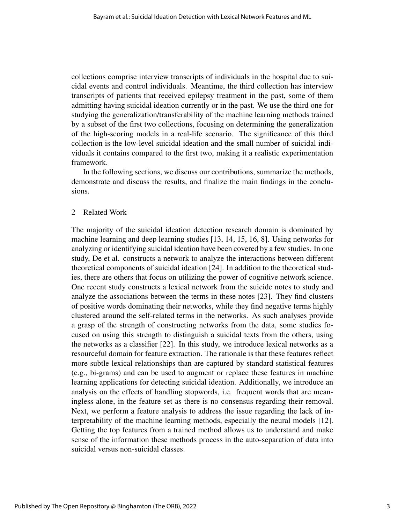collections comprise interview transcripts of individuals in the hospital due to suicidal events and control individuals. Meantime, the third collection has interview transcripts of patients that received epilepsy treatment in the past, some of them admitting having suicidal ideation currently or in the past. We use the third one for studying the generalization/transferability of the machine learning methods trained by a subset of the first two collections, focusing on determining the generalization of the high-scoring models in a real-life scenario. The significance of this third collection is the low-level suicidal ideation and the small number of suicidal individuals it contains compared to the first two, making it a realistic experimentation framework.

In the following sections, we discuss our contributions, summarize the methods, demonstrate and discuss the results, and finalize the main findings in the conclusions.

#### 2 Related Work

The majority of the suicidal ideation detection research domain is dominated by machine learning and deep learning studies [13, 14, 15, 16, 8]. Using networks for analyzing or identifying suicidal ideation have been covered by a few studies. In one study, De et al. constructs a network to analyze the interactions between different theoretical components of suicidal ideation [24]. In addition to the theoretical studies, there are others that focus on utilizing the power of cognitive network science. One recent study constructs a lexical network from the suicide notes to study and analyze the associations between the terms in these notes [23]. They find clusters of positive words dominating their networks, while they find negative terms highly clustered around the self-related terms in the networks. As such analyses provide a grasp of the strength of constructing networks from the data, some studies focused on using this strength to distinguish a suicidal texts from the others, using the networks as a classifier [22]. In this study, we introduce lexical networks as a resourceful domain for feature extraction. The rationale is that these features reflect more subtle lexical relationships than are captured by standard statistical features (e.g., bi-grams) and can be used to augment or replace these features in machine learning applications for detecting suicidal ideation. Additionally, we introduce an analysis on the effects of handling stopwords, i.e. frequent words that are meaningless alone, in the feature set as there is no consensus regarding their removal. Next, we perform a feature analysis to address the issue regarding the lack of interpretability of the machine learning methods, especially the neural models [12]. Getting the top features from a trained method allows us to understand and make sense of the information these methods process in the auto-separation of data into suicidal versus non-suicidal classes.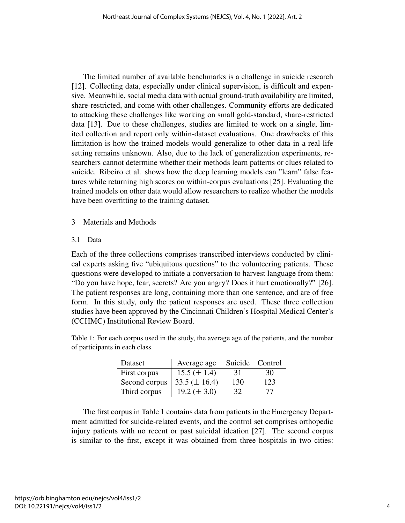The limited number of available benchmarks is a challenge in suicide research [12]. Collecting data, especially under clinical supervision, is difficult and expensive. Meanwhile, social media data with actual ground-truth availability are limited, share-restricted, and come with other challenges. Community efforts are dedicated to attacking these challenges like working on small gold-standard, share-restricted data [13]. Due to these challenges, studies are limited to work on a single, limited collection and report only within-dataset evaluations. One drawbacks of this limitation is how the trained models would generalize to other data in a real-life setting remains unknown. Also, due to the lack of generalization experiments, researchers cannot determine whether their methods learn patterns or clues related to suicide. Ribeiro et al. shows how the deep learning models can "learn" false features while returning high scores on within-corpus evaluations [25]. Evaluating the trained models on other data would allow researchers to realize whether the models have been overfitting to the training dataset.

- 3 Materials and Methods
- 3.1 Data

Each of the three collections comprises transcribed interviews conducted by clinical experts asking five "ubiquitous questions" to the volunteering patients. These questions were developed to initiate a conversation to harvest language from them: "Do you have hope, fear, secrets? Are you angry? Does it hurt emotionally?" [26]. The patient responses are long, containing more than one sentence, and are of free form. In this study, only the patient responses are used. These three collection studies have been approved by the Cincinnati Children's Hospital Medical Center's (CCHMC) Institutional Review Board.

Table 1: For each corpus used in the study, the average age of the patients, and the number of participants in each class.

| Dataset       | Average age        | Suicide Control |     |
|---------------|--------------------|-----------------|-----|
| First corpus  | $15.5 (\pm 1.4)$   | 31              | 30  |
| Second corpus | 33.5 ( $\pm$ 16.4) | 130             | 123 |
| Third corpus  | 19.2 ( $\pm$ 3.0)  | 32              | 77  |

The first corpus in Table 1 contains data from patients in the Emergency Department admitted for suicide-related events, and the control set comprises orthopedic injury patients with no recent or past suicidal ideation [27]. The second corpus is similar to the first, except it was obtained from three hospitals in two cities: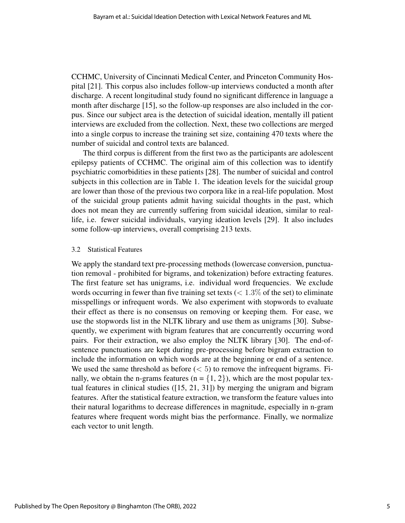CCHMC, University of Cincinnati Medical Center, and Princeton Community Hospital [21]. This corpus also includes follow-up interviews conducted a month after discharge. A recent longitudinal study found no significant difference in language a month after discharge [15], so the follow-up responses are also included in the corpus. Since our subject area is the detection of suicidal ideation, mentally ill patient interviews are excluded from the collection. Next, these two collections are merged into a single corpus to increase the training set size, containing 470 texts where the number of suicidal and control texts are balanced.

The third corpus is different from the first two as the participants are adolescent epilepsy patients of CCHMC. The original aim of this collection was to identify psychiatric comorbidities in these patients [28]. The number of suicidal and control subjects in this collection are in Table 1. The ideation levels for the suicidal group are lower than those of the previous two corpora like in a real-life population. Most of the suicidal group patients admit having suicidal thoughts in the past, which does not mean they are currently suffering from suicidal ideation, similar to reallife, i.e. fewer suicidal individuals, varying ideation levels [29]. It also includes some follow-up interviews, overall comprising 213 texts.

#### 3.2 Statistical Features

We apply the standard text pre-processing methods (lowercase conversion, punctuation removal - prohibited for bigrams, and tokenization) before extracting features. The first feature set has unigrams, i.e. individual word frequencies. We exclude words occurring in fewer than five training set texts  $(< 1.3\%$  of the set) to eliminate misspellings or infrequent words. We also experiment with stopwords to evaluate their effect as there is no consensus on removing or keeping them. For ease, we use the stopwords list in the NLTK library and use them as unigrams [30]. Subsequently, we experiment with bigram features that are concurrently occurring word pairs. For their extraction, we also employ the NLTK library [30]. The end-ofsentence punctuations are kept during pre-processing before bigram extraction to include the information on which words are at the beginning or end of a sentence. We used the same threshold as before  $(< 5)$  to remove the infrequent bigrams. Finally, we obtain the n-grams features ( $n = \{1, 2\}$ ), which are the most popular textual features in clinical studies ([15, 21, 31]) by merging the unigram and bigram features. After the statistical feature extraction, we transform the feature values into their natural logarithms to decrease differences in magnitude, especially in n-gram features where frequent words might bias the performance. Finally, we normalize each vector to unit length.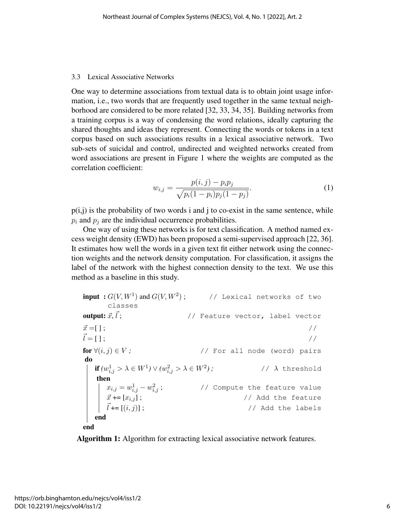#### 3.3 Lexical Associative Networks

One way to determine associations from textual data is to obtain joint usage information, i.e., two words that are frequently used together in the same textual neighborhood are considered to be more related [32, 33, 34, 35]. Building networks from a training corpus is a way of condensing the word relations, ideally capturing the shared thoughts and ideas they represent. Connecting the words or tokens in a text corpus based on such associations results in a lexical associative network. Two sub-sets of suicidal and control, undirected and weighted networks created from word associations are present in Figure 1 where the weights are computed as the correlation coefficient:

$$
w_{i,j} = \frac{p(i,j) - p_i p_j}{\sqrt{p_i(1-p_i)p_j(1-p_j)}}.
$$
\n(1)

 $p(i,j)$  is the probability of two words i and j to co-exist in the same sentence, while  $p_i$  and  $p_j$  are the individual occurrence probabilities.

One way of using these networks is for text classification. A method named excess weight density (EWD) has been proposed a semi-supervised approach [22, 36]. It estimates how well the words in a given text fit either network using the connection weights and the network density computation. For classification, it assigns the label of the network with the highest connection density to the text. We use this method as a baseline in this study.

```
\textbf{input}: G(V,W^1) \text{ and } G(V,W^2) ; // Lexical networks of two
      classes
output: \vec{x}, \vec{l} :
            // Feature vector, label vector
\vec{x} =[ ]; //
\vec{l} = [ ]; //
for \forall (i, j) \in V; // For all node (word) pairs
do
   if (w_{i,j}^1 > \lambda \in W^1) \vee (w_{i,j}^2 > \lambda \in W^2) ; \hspace{2cm} \text{/}\hspace{2cm} \text{/}\hspace{2cm} \lambda \text{ threshold}then
      x_{i,j} = w_{i,j}^1 - w_{i,j}^2; // Compute the feature value
      \vec{x} += [x_{i,j}]; \vec{x} += [x_{i,j}];
      \vec{l} += [(i, j)]; // Add the labels
   end
```
end

Algorithm 1: Algorithm for extracting lexical associative network features.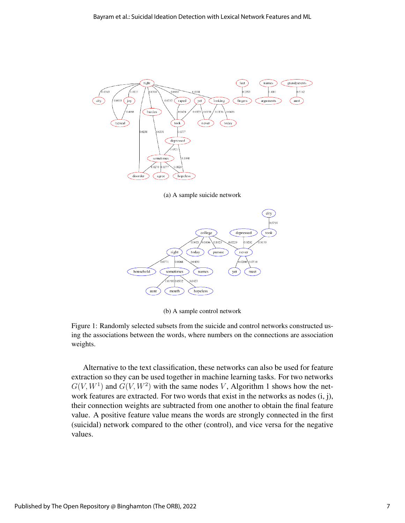

(a) A sample suicide network



(b) A sample control network

Figure 1: Randomly selected subsets from the suicide and control networks constructed using the associations between the words, where numbers on the connections are association weights.

Alternative to the text classification, these networks can also be used for feature extraction so they can be used together in machine learning tasks. For two networks  $G(V, W^1)$  and  $G(V, W^2)$  with the same nodes V, Algorithm 1 shows how the network features are extracted. For two words that exist in the networks as nodes  $(i, j)$ , their connection weights are subtracted from one another to obtain the final feature value. A positive feature value means the words are strongly connected in the first (suicidal) network compared to the other (control), and vice versa for the negative values.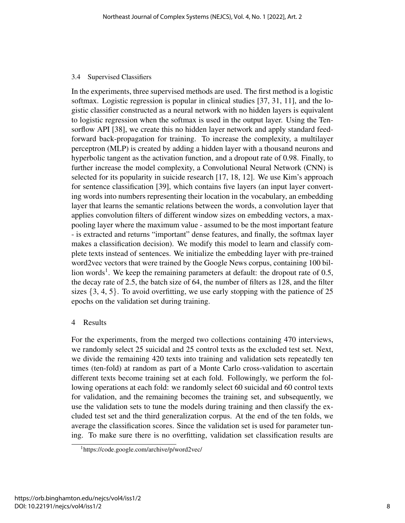### 3.4 Supervised Classifiers

In the experiments, three supervised methods are used. The first method is a logistic softmax. Logistic regression is popular in clinical studies [37, 31, 11], and the logistic classifier constructed as a neural network with no hidden layers is equivalent to logistic regression when the softmax is used in the output layer. Using the Tensorflow API [38], we create this no hidden layer network and apply standard feedforward back-propagation for training. To increase the complexity, a multilayer perceptron (MLP) is created by adding a hidden layer with a thousand neurons and hyperbolic tangent as the activation function, and a dropout rate of 0.98. Finally, to further increase the model complexity, a Convolutional Neural Network (CNN) is selected for its popularity in suicide research [17, 18, 12]. We use Kim's approach for sentence classification [39], which contains five layers (an input layer converting words into numbers representing their location in the vocabulary, an embedding layer that learns the semantic relations between the words, a convolution layer that applies convolution filters of different window sizes on embedding vectors, a maxpooling layer where the maximum value - assumed to be the most important feature - is extracted and returns "important" dense features, and finally, the softmax layer makes a classification decision). We modify this model to learn and classify complete texts instead of sentences. We initialize the embedding layer with pre-trained word2vec vectors that were trained by the Google News corpus, containing 100 billion words<sup>1</sup>. We keep the remaining parameters at default: the dropout rate of  $0.5$ , the decay rate of 2.5, the batch size of 64, the number of filters as 128, and the filter sizes  $\{3, 4, 5\}$ . To avoid overfitting, we use early stopping with the patience of 25 epochs on the validation set during training.

## 4 Results

For the experiments, from the merged two collections containing 470 interviews, we randomly select 25 suicidal and 25 control texts as the excluded test set. Next, we divide the remaining 420 texts into training and validation sets repeatedly ten times (ten-fold) at random as part of a Monte Carlo cross-validation to ascertain different texts become training set at each fold. Followingly, we perform the following operations at each fold: we randomly select 60 suicidal and 60 control texts for validation, and the remaining becomes the training set, and subsequently, we use the validation sets to tune the models during training and then classify the excluded test set and the third generalization corpus. At the end of the ten folds, we average the classification scores. Since the validation set is used for parameter tuning. To make sure there is no overfitting, validation set classification results are

<sup>1</sup>https://code.google.com/archive/p/word2vec/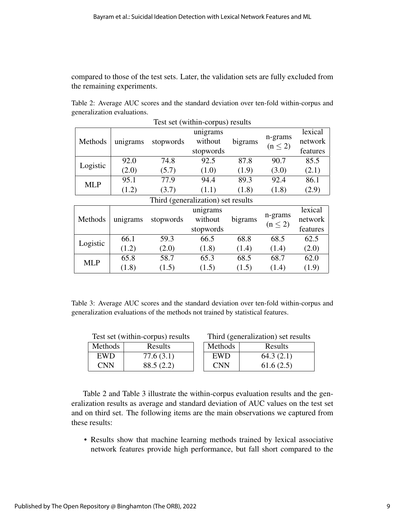compared to those of the test sets. Later, the validation sets are fully excluded from the remaining experiments.

Table 2: Average AUC scores and the standard deviation over ten-fold within-corpus and generalization evaluations.

| Test set (within-corpus) results   |          |           |           |         |                         |          |
|------------------------------------|----------|-----------|-----------|---------|-------------------------|----------|
| Methods                            | unigrams | stopwords | unigrams  | bigrams | n-grams<br>$(n \leq 2)$ | lexical  |
|                                    |          |           | without   |         |                         | network  |
|                                    |          |           | stopwords |         |                         | features |
| Logistic                           | 92.0     | 74.8      | 92.5      | 87.8    | 90.7                    | 85.5     |
|                                    | (2.0)    | (5.7)     | (1.0)     | (1.9)   | (3.0)                   | (2.1)    |
| <b>MLP</b>                         | 95.1     | 77.9      | 94.4      | 89.3    | 92.4                    | 86.1     |
|                                    | (1.2)    | (3.7)     | (1.1)     | (1.8)   | (1.8)                   | (2.9)    |
| Third (generalization) set results |          |           |           |         |                         |          |

| Methods    | unigrams | stopwords | unigrams<br>without<br>stopwords | bigrams | n-grams<br>$(n \leq 2)$ | lexical<br>network<br>features |
|------------|----------|-----------|----------------------------------|---------|-------------------------|--------------------------------|
| Logistic   | 66.1     | 59.3      | 66.5                             | 68.8    | 68.5                    | 62.5                           |
|            | (1.2)    | (2.0)     | (1.8)                            | (1.4)   | (1.4)                   | (2.0)                          |
| <b>MLP</b> | 65.8     | 58.7      | 65.3                             | 68.5    | 68.7                    | 62.0                           |
|            | (1.8)    | (1.5)     | (1.5)                            | (1.5)   | (1.4)                   | (1.9)                          |

Table 3: Average AUC scores and the standard deviation over ten-fold within-corpus and generalization evaluations of the methods not trained by statistical features.

| Test set (within-corpus) results |                |            | Third (generalization) set results |  |  |
|----------------------------------|----------------|------------|------------------------------------|--|--|
| <b>Methods</b>                   | <b>Results</b> | Methods    | Results                            |  |  |
| <b>EWD</b>                       | 77.6(3.1)      | <b>EWD</b> | 64.3(2.1)                          |  |  |
| <b>CNN</b>                       | 88.5(2.2)      | <b>CNN</b> | 61.6(2.5)                          |  |  |

Table 2 and Table 3 illustrate the within-corpus evaluation results and the generalization results as average and standard deviation of AUC values on the test set and on third set. The following items are the main observations we captured from these results:

• Results show that machine learning methods trained by lexical associative network features provide high performance, but fall short compared to the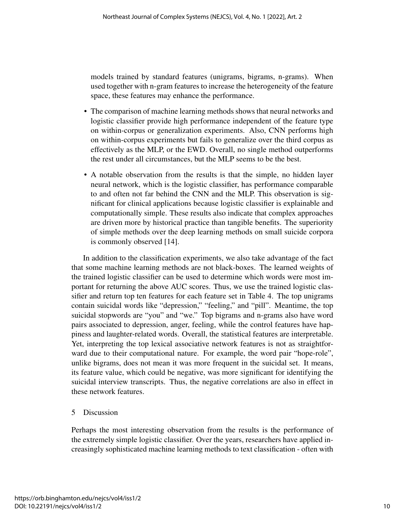models trained by standard features (unigrams, bigrams, n-grams). When used together with n-gram features to increase the heterogeneity of the feature space, these features may enhance the performance.

- The comparison of machine learning methods shows that neural networks and logistic classifier provide high performance independent of the feature type on within-corpus or generalization experiments. Also, CNN performs high on within-corpus experiments but fails to generalize over the third corpus as effectively as the MLP, or the EWD. Overall, no single method outperforms the rest under all circumstances, but the MLP seems to be the best.
- A notable observation from the results is that the simple, no hidden layer neural network, which is the logistic classifier, has performance comparable to and often not far behind the CNN and the MLP. This observation is significant for clinical applications because logistic classifier is explainable and computationally simple. These results also indicate that complex approaches are driven more by historical practice than tangible benefits. The superiority of simple methods over the deep learning methods on small suicide corpora is commonly observed [14].

In addition to the classification experiments, we also take advantage of the fact that some machine learning methods are not black-boxes. The learned weights of the trained logistic classifier can be used to determine which words were most important for returning the above AUC scores. Thus, we use the trained logistic classifier and return top ten features for each feature set in Table 4. The top unigrams contain suicidal words like "depression," "feeling," and "pill". Meantime, the top suicidal stopwords are "you" and "we." Top bigrams and n-grams also have word pairs associated to depression, anger, feeling, while the control features have happiness and laughter-related words. Overall, the statistical features are interpretable. Yet, interpreting the top lexical associative network features is not as straightforward due to their computational nature. For example, the word pair "hope-role", unlike bigrams, does not mean it was more frequent in the suicidal set. It means, its feature value, which could be negative, was more significant for identifying the suicidal interview transcripts. Thus, the negative correlations are also in effect in these network features.

# 5 Discussion

Perhaps the most interesting observation from the results is the performance of the extremely simple logistic classifier. Over the years, researchers have applied increasingly sophisticated machine learning methods to text classification - often with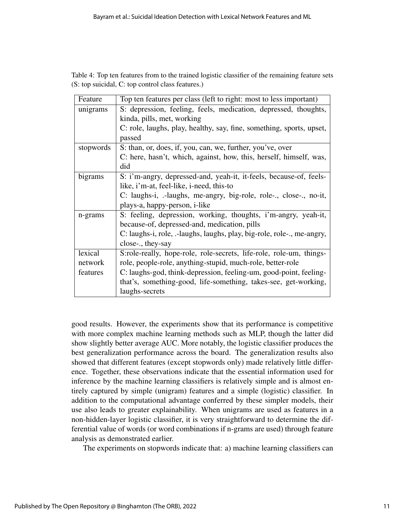| Table 4: Top ten features from to the trained logistic classifier of the remaining feature sets |  |
|-------------------------------------------------------------------------------------------------|--|
| (S: top suicidal, C: top control class features.)                                               |  |

| Feature   | Top ten features per class (left to right: most to less important)     |
|-----------|------------------------------------------------------------------------|
| unigrams  | S: depression, feeling, feels, medication, depressed, thoughts,        |
|           | kinda, pills, met, working                                             |
|           | C: role, laughs, play, healthy, say, fine, something, sports, upset,   |
|           | passed                                                                 |
| stopwords | S: than, or, does, if, you, can, we, further, you've, over             |
|           | C: here, hasn't, which, against, how, this, herself, himself, was,     |
|           | did                                                                    |
| bigrams   | S: i'm-angry, depressed-and, yeah-it, it-feels, because-of, feels-     |
|           | like, i'm-at, feel-like, i-need, this-to                               |
|           | C: laughs-i, .-laughs, me-angry, big-role, role-., close-., no-it,     |
|           | plays-a, happy-person, i-like                                          |
| n-grams   | S: feeling, depression, working, thoughts, i'm-angry, yeah-it,         |
|           | because-of, depressed-and, medication, pills                           |
|           | C: laughs-i, role, .-laughs, laughs, play, big-role, role-., me-angry, |
|           | close-., they-say                                                      |
| lexical   | S:role-really, hope-role, role-secrets, life-role, role-um, things-    |
| network   | role, people-role, anything-stupid, much-role, better-role             |
| features  | C: laughs-god, think-depression, feeling-um, good-point, feeling-      |
|           | that's, something-good, life-something, takes-see, get-working,        |
|           | laughs-secrets                                                         |

good results. However, the experiments show that its performance is competitive with more complex machine learning methods such as MLP, though the latter did show slightly better average AUC. More notably, the logistic classifier produces the best generalization performance across the board. The generalization results also showed that different features (except stopwords only) made relatively little difference. Together, these observations indicate that the essential information used for inference by the machine learning classifiers is relatively simple and is almost entirely captured by simple (unigram) features and a simple (logistic) classifier. In addition to the computational advantage conferred by these simpler models, their use also leads to greater explainability. When unigrams are used as features in a non-hidden-layer logistic classifier, it is very straightforward to determine the differential value of words (or word combinations if n-grams are used) through feature analysis as demonstrated earlier.

The experiments on stopwords indicate that: a) machine learning classifiers can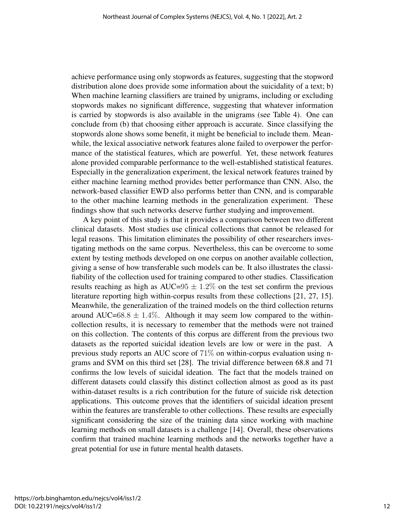achieve performance using only stopwords as features, suggesting that the stopword distribution alone does provide some information about the suicidality of a text; b) When machine learning classifiers are trained by unigrams, including or excluding stopwords makes no significant difference, suggesting that whatever information is carried by stopwords is also available in the unigrams (see Table 4). One can conclude from (b) that choosing either approach is accurate. Since classifying the stopwords alone shows some benefit, it might be beneficial to include them. Meanwhile, the lexical associative network features alone failed to overpower the performance of the statistical features, which are powerful. Yet, these network features alone provided comparable performance to the well-established statistical features. Especially in the generalization experiment, the lexical network features trained by either machine learning method provides better performance than CNN. Also, the network-based classifier EWD also performs better than CNN, and is comparable to the other machine learning methods in the generalization experiment. These findings show that such networks deserve further studying and improvement.

A key point of this study is that it provides a comparison between two different clinical datasets. Most studies use clinical collections that cannot be released for legal reasons. This limitation eliminates the possibility of other researchers investigating methods on the same corpus. Nevertheless, this can be overcome to some extent by testing methods developed on one corpus on another available collection, giving a sense of how transferable such models can be. It also illustrates the classifiability of the collection used for training compared to other studies. Classification results reaching as high as AUC=95  $\pm$  1.2% on the test set confirm the previous literature reporting high within-corpus results from these collections [21, 27, 15]. Meanwhile, the generalization of the trained models on the third collection returns around AUC=68.8  $\pm$  1.4%. Although it may seem low compared to the withincollection results, it is necessary to remember that the methods were not trained on this collection. The contents of this corpus are different from the previous two datasets as the reported suicidal ideation levels are low or were in the past. A previous study reports an AUC score of 71% on within-corpus evaluation using ngrams and SVM on this third set [28]. The trivial difference between 68.8 and 71 confirms the low levels of suicidal ideation. The fact that the models trained on different datasets could classify this distinct collection almost as good as its past within-dataset results is a rich contribution for the future of suicide risk detection applications. This outcome proves that the identifiers of suicidal ideation present within the features are transferable to other collections. These results are especially significant considering the size of the training data since working with machine learning methods on small datasets is a challenge [14]. Overall, these observations confirm that trained machine learning methods and the networks together have a great potential for use in future mental health datasets.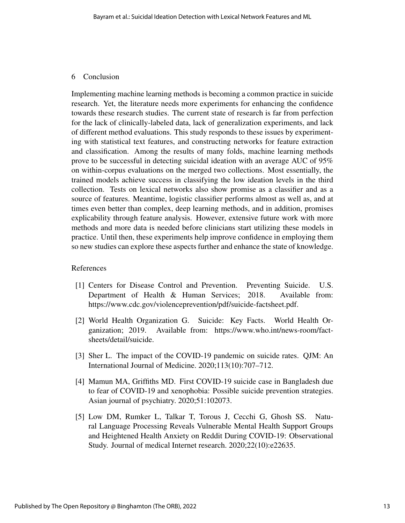#### 6 Conclusion

Implementing machine learning methods is becoming a common practice in suicide research. Yet, the literature needs more experiments for enhancing the confidence towards these research studies. The current state of research is far from perfection for the lack of clinically-labeled data, lack of generalization experiments, and lack of different method evaluations. This study responds to these issues by experimenting with statistical text features, and constructing networks for feature extraction and classification. Among the results of many folds, machine learning methods prove to be successful in detecting suicidal ideation with an average AUC of 95% on within-corpus evaluations on the merged two collections. Most essentially, the trained models achieve success in classifying the low ideation levels in the third collection. Tests on lexical networks also show promise as a classifier and as a source of features. Meantime, logistic classifier performs almost as well as, and at times even better than complex, deep learning methods, and in addition, promises explicability through feature analysis. However, extensive future work with more methods and more data is needed before clinicians start utilizing these models in practice. Until then, these experiments help improve confidence in employing them so new studies can explore these aspects further and enhance the state of knowledge.

## References

- [1] Centers for Disease Control and Prevention. Preventing Suicide. U.S. Department of Health & Human Services; 2018. Available from: https://www.cdc.gov/violenceprevention/pdf/suicide-factsheet.pdf.
- [2] World Health Organization G. Suicide: Key Facts. World Health Organization; 2019. Available from: https://www.who.int/news-room/factsheets/detail/suicide.
- [3] Sher L. The impact of the COVID-19 pandemic on suicide rates. QJM: An International Journal of Medicine. 2020;113(10):707–712.
- [4] Mamun MA, Griffiths MD. First COVID-19 suicide case in Bangladesh due to fear of COVID-19 and xenophobia: Possible suicide prevention strategies. Asian journal of psychiatry. 2020;51:102073.
- [5] Low DM, Rumker L, Talkar T, Torous J, Cecchi G, Ghosh SS. Natural Language Processing Reveals Vulnerable Mental Health Support Groups and Heightened Health Anxiety on Reddit During COVID-19: Observational Study. Journal of medical Internet research. 2020;22(10):e22635.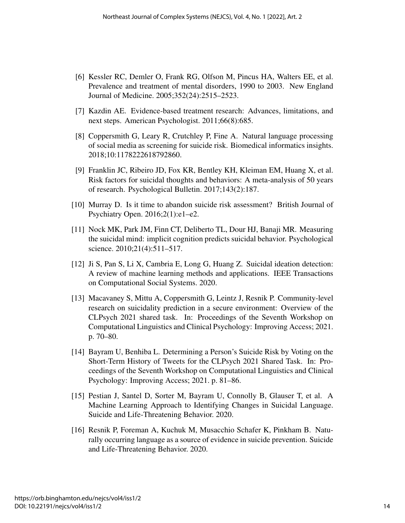- [6] Kessler RC, Demler O, Frank RG, Olfson M, Pincus HA, Walters EE, et al. Prevalence and treatment of mental disorders, 1990 to 2003. New England Journal of Medicine. 2005;352(24):2515–2523.
- [7] Kazdin AE. Evidence-based treatment research: Advances, limitations, and next steps. American Psychologist. 2011;66(8):685.
- [8] Coppersmith G, Leary R, Crutchley P, Fine A. Natural language processing of social media as screening for suicide risk. Biomedical informatics insights. 2018;10:1178222618792860.
- [9] Franklin JC, Ribeiro JD, Fox KR, Bentley KH, Kleiman EM, Huang X, et al. Risk factors for suicidal thoughts and behaviors: A meta-analysis of 50 years of research. Psychological Bulletin. 2017;143(2):187.
- [10] Murray D. Is it time to abandon suicide risk assessment? British Journal of Psychiatry Open. 2016;2(1):e1–e2.
- [11] Nock MK, Park JM, Finn CT, Deliberto TL, Dour HJ, Banaji MR. Measuring the suicidal mind: implicit cognition predicts suicidal behavior. Psychological science. 2010;21(4):511–517.
- [12] Ji S, Pan S, Li X, Cambria E, Long G, Huang Z. Suicidal ideation detection: A review of machine learning methods and applications. IEEE Transactions on Computational Social Systems. 2020.
- [13] Macavaney S, Mittu A, Coppersmith G, Leintz J, Resnik P. Community-level research on suicidality prediction in a secure environment: Overview of the CLPsych 2021 shared task. In: Proceedings of the Seventh Workshop on Computational Linguistics and Clinical Psychology: Improving Access; 2021. p. 70–80.
- [14] Bayram U, Benhiba L. Determining a Person's Suicide Risk by Voting on the Short-Term History of Tweets for the CLPsych 2021 Shared Task. In: Proceedings of the Seventh Workshop on Computational Linguistics and Clinical Psychology: Improving Access; 2021. p. 81–86.
- [15] Pestian J, Santel D, Sorter M, Bayram U, Connolly B, Glauser T, et al. A Machine Learning Approach to Identifying Changes in Suicidal Language. Suicide and Life-Threatening Behavior. 2020.
- [16] Resnik P, Foreman A, Kuchuk M, Musacchio Schafer K, Pinkham B. Naturally occurring language as a source of evidence in suicide prevention. Suicide and Life-Threatening Behavior. 2020.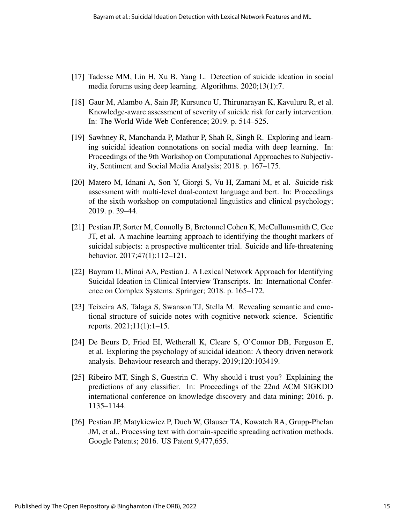- [17] Tadesse MM, Lin H, Xu B, Yang L. Detection of suicide ideation in social media forums using deep learning. Algorithms. 2020;13(1):7.
- [18] Gaur M, Alambo A, Sain JP, Kursuncu U, Thirunarayan K, Kavuluru R, et al. Knowledge-aware assessment of severity of suicide risk for early intervention. In: The World Wide Web Conference; 2019. p. 514–525.
- [19] Sawhney R, Manchanda P, Mathur P, Shah R, Singh R. Exploring and learning suicidal ideation connotations on social media with deep learning. In: Proceedings of the 9th Workshop on Computational Approaches to Subjectivity, Sentiment and Social Media Analysis; 2018. p. 167–175.
- [20] Matero M, Idnani A, Son Y, Giorgi S, Vu H, Zamani M, et al. Suicide risk assessment with multi-level dual-context language and bert. In: Proceedings of the sixth workshop on computational linguistics and clinical psychology; 2019. p. 39–44.
- [21] Pestian JP, Sorter M, Connolly B, Bretonnel Cohen K, McCullumsmith C, Gee JT, et al. A machine learning approach to identifying the thought markers of suicidal subjects: a prospective multicenter trial. Suicide and life-threatening behavior. 2017;47(1):112–121.
- [22] Bayram U, Minai AA, Pestian J. A Lexical Network Approach for Identifying Suicidal Ideation in Clinical Interview Transcripts. In: International Conference on Complex Systems. Springer; 2018. p. 165–172.
- [23] Teixeira AS, Talaga S, Swanson TJ, Stella M. Revealing semantic and emotional structure of suicide notes with cognitive network science. Scientific reports. 2021;11(1):1–15.
- [24] De Beurs D, Fried EI, Wetherall K, Cleare S, O'Connor DB, Ferguson E, et al. Exploring the psychology of suicidal ideation: A theory driven network analysis. Behaviour research and therapy. 2019;120:103419.
- [25] Ribeiro MT, Singh S, Guestrin C. Why should i trust you? Explaining the predictions of any classifier. In: Proceedings of the 22nd ACM SIGKDD international conference on knowledge discovery and data mining; 2016. p. 1135–1144.
- [26] Pestian JP, Matykiewicz P, Duch W, Glauser TA, Kowatch RA, Grupp-Phelan JM, et al.. Processing text with domain-specific spreading activation methods. Google Patents; 2016. US Patent 9,477,655.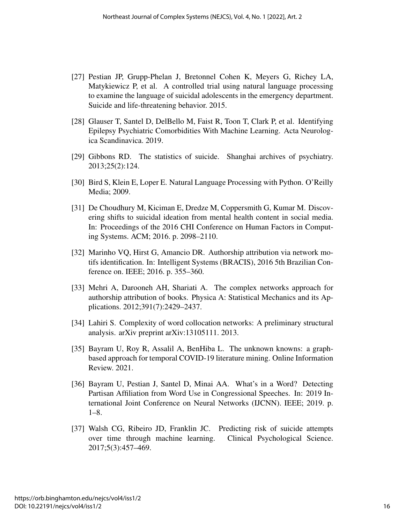- [27] Pestian JP, Grupp-Phelan J, Bretonnel Cohen K, Meyers G, Richey LA, Matykiewicz P, et al. A controlled trial using natural language processing to examine the language of suicidal adolescents in the emergency department. Suicide and life-threatening behavior. 2015.
- [28] Glauser T, Santel D, DelBello M, Faist R, Toon T, Clark P, et al. Identifying Epilepsy Psychiatric Comorbidities With Machine Learning. Acta Neurologica Scandinavica. 2019.
- [29] Gibbons RD. The statistics of suicide. Shanghai archives of psychiatry. 2013;25(2):124.
- [30] Bird S, Klein E, Loper E. Natural Language Processing with Python. O'Reilly Media; 2009.
- [31] De Choudhury M, Kiciman E, Dredze M, Coppersmith G, Kumar M. Discovering shifts to suicidal ideation from mental health content in social media. In: Proceedings of the 2016 CHI Conference on Human Factors in Computing Systems. ACM; 2016. p. 2098–2110.
- [32] Marinho VQ, Hirst G, Amancio DR. Authorship attribution via network motifs identification. In: Intelligent Systems (BRACIS), 2016 5th Brazilian Conference on. IEEE; 2016. p. 355–360.
- [33] Mehri A, Darooneh AH, Shariati A. The complex networks approach for authorship attribution of books. Physica A: Statistical Mechanics and its Applications. 2012;391(7):2429–2437.
- [34] Lahiri S. Complexity of word collocation networks: A preliminary structural analysis. arXiv preprint arXiv:13105111. 2013.
- [35] Bayram U, Roy R, Assalil A, BenHiba L. The unknown knowns: a graphbased approach for temporal COVID-19 literature mining. Online Information Review. 2021.
- [36] Bayram U, Pestian J, Santel D, Minai AA. What's in a Word? Detecting Partisan Affiliation from Word Use in Congressional Speeches. In: 2019 International Joint Conference on Neural Networks (IJCNN). IEEE; 2019. p. 1–8.
- [37] Walsh CG, Ribeiro JD, Franklin JC. Predicting risk of suicide attempts over time through machine learning. Clinical Psychological Science. 2017;5(3):457–469.